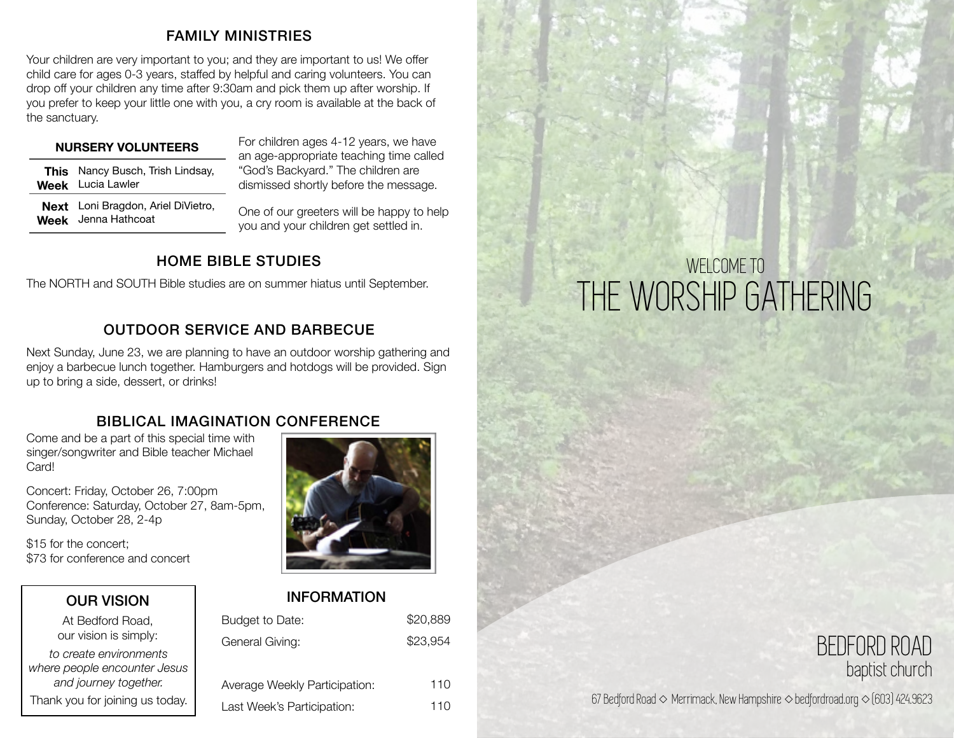#### FAMILY MINISTRIES

Your children are very important to you; and they are important to us! We offer child care for ages 0-3 years, staffed by helpful and caring volunteers. You can drop off your children any time after 9:30am and pick them up after worship. If you prefer to keep your little one with you, a cry room is available at the back of the sanctuary.

#### **NURSERY VOLUNTEERS**

| <b>This</b> Nancy Busch, Trish Lindsay, |
|-----------------------------------------|
| <b>Week</b> Lucia Lawler                |

For children ages 4-12 years, we have an age-appropriate teaching time called "God's Backyard." The children are dismissed shortly before the message.

**Next**  Loni Bragdon, Ariel DiVietro, **Week** Jenna Hathcoat

One of our greeters will be happy to help you and your children get settled in.

### HOME BIBLE STUDIES

The NORTH and SOUTH Bible studies are on summer hiatus until September.

### OUTDOOR SERVICE AND BARBECUE

Next Sunday, June 23, we are planning to have an outdoor worship gathering and enjoy a barbecue lunch together. Hamburgers and hotdogs will be provided. Sign up to bring a side, dessert, or drinks!

### BIBLICAL IMAGINATION CONFERENCE

Come and be a part of this special time with singer/songwriter and Bible teacher Michael Card!

Concert: Friday, October 26, 7:00pm Conference: Saturday, October 27, 8am-5pm, Sunday, October 28, 2-4p

\$15 for the concert; \$73 for conference and concert

OUR VISION At Bedford Road, our vision is simply: *to create environments where people encounter Jesus and journey together.*  Thank you for joining us today.

#### INFORMATION

| Budget to Date:               | \$20,889 |
|-------------------------------|----------|
| General Giving:               | \$23,954 |
|                               |          |
| Average Weekly Participation: | 110      |
| Last Week's Participation:    | 110      |

## WELCOME TO THE WORSHIP GATHERING

### BEDFORD ROAD baptist church

67 Bedford Road ◇ Merrimack, New Hampshire ◇ bedfordroad.org ◇ (603) 424.9623